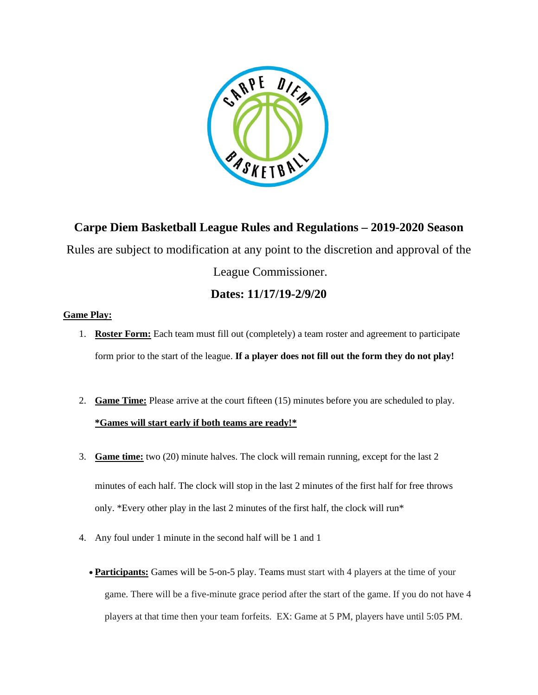

**Carpe Diem Basketball League Rules and Regulations – 2019-2020 Season** Rules are subject to modification at any point to the discretion and approval of the League Commissioner.

## **Dates: 11/17/19-2/9/20**

## **Game Play:**

- 1. **Roster Form:** Each team must fill out (completely) a team roster and agreement to participate form prior to the start of the league. **If a player does not fill out the form they do not play!**
- 2. **Game Time:** Please arrive at the court fifteen (15) minutes before you are scheduled to play. **\*Games will start early if both teams are ready!\***
- 3. **Game time:** two (20) minute halves. The clock will remain running, except for the last 2 minutes of each half. The clock will stop in the last 2 minutes of the first half for free throws only. \*Every other play in the last 2 minutes of the first half, the clock will run\*
- 4. Any foul under 1 minute in the second half will be 1 and 1
	- **Participants:** Games will be 5-on-5 play. Teams must start with 4 players at the time of your game. There will be a five-minute grace period after the start of the game. If you do not have 4 players at that time then your team forfeits. EX: Game at 5 PM, players have until 5:05 PM.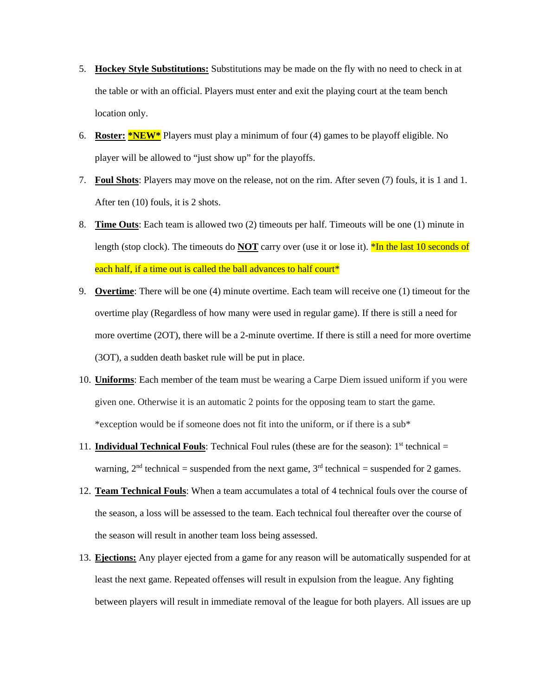- 5. **Hockey Style Substitutions:** Substitutions may be made on the fly with no need to check in at the table or with an official. Players must enter and exit the playing court at the team bench location only.
- 6. **Roster: \*NEW\*** Players must play a minimum of four (4) games to be playoff eligible. No player will be allowed to "just show up" for the playoffs.
- 7. **Foul Shots**: Players may move on the release, not on the rim. After seven (7) fouls, it is 1 and 1. After ten (10) fouls, it is 2 shots.
- 8. **Time Outs**: Each team is allowed two (2) timeouts per half. Timeouts will be one (1) minute in length (stop clock). The timeouts do **NOT** carry over (use it or lose it). <sup>\*</sup>In the last 10 seconds of each half, if a time out is called the ball advances to half court\*
- 9. **Overtime**: There will be one (4) minute overtime. Each team will receive one (1) timeout for the overtime play (Regardless of how many were used in regular game). If there is still a need for more overtime (2OT), there will be a 2-minute overtime. If there is still a need for more overtime (3OT), a sudden death basket rule will be put in place.
- 10. **Uniforms**: Each member of the team must be wearing a Carpe Diem issued uniform if you were given one. Otherwise it is an automatic 2 points for the opposing team to start the game. \*exception would be if someone does not fit into the uniform, or if there is a sub\*
- 11. **Individual Technical Fouls**: Technical Foul rules (these are for the season):  $1<sup>st</sup>$  technical  $=$ warning,  $2<sup>nd</sup>$  technical = suspended from the next game,  $3<sup>rd</sup>$  technical = suspended for 2 games.
- 12. **Team Technical Fouls**: When a team accumulates a total of 4 technical fouls over the course of the season, a loss will be assessed to the team. Each technical foul thereafter over the course of the season will result in another team loss being assessed.
- 13. **Ejections:** Any player ejected from a game for any reason will be automatically suspended for at least the next game. Repeated offenses will result in expulsion from the league. Any fighting between players will result in immediate removal of the league for both players. All issues are up